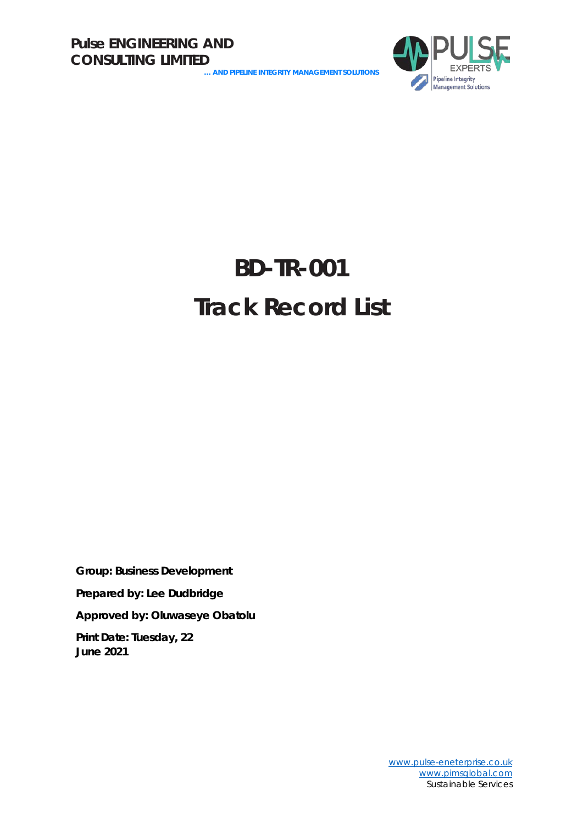**… AND PIPELINE INTEGRITY MANAGEMENT SOLUTIONS**



## **BD-TR-001 Track Record List**

**Group: Business Development Prepared by: Lee Dudbridge Approved by: Oluwaseye Obatolu Print Date: Tuesday, 22** 

**June 2021**

[www.pulse-eneterprise.co.uk](http://www.pulse-eneterprise.co.uk/) [www.pimsglobal.com](http://www.pimsglobal.com/) Sustainable Services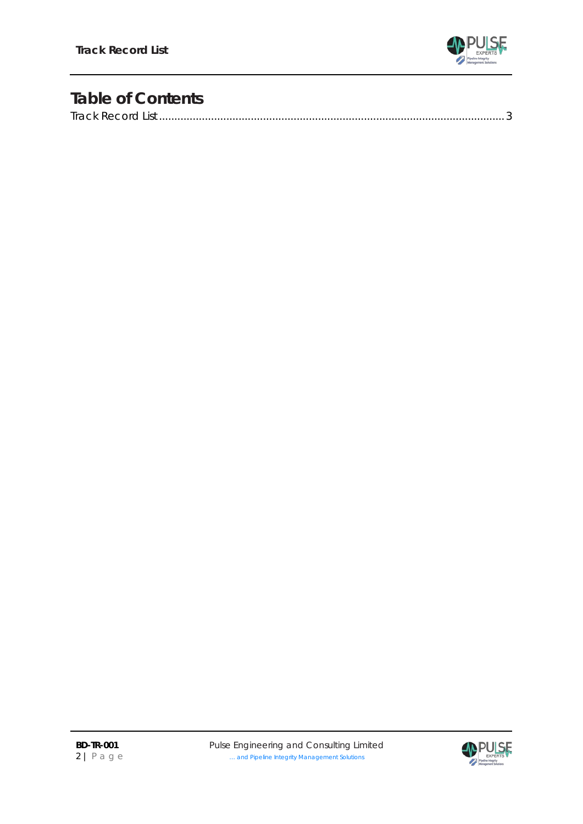

## **Table of Contents**

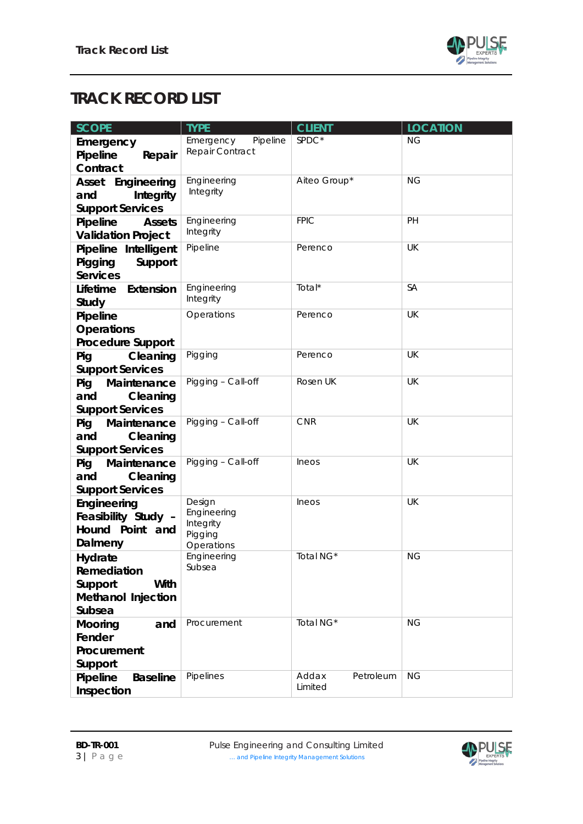

## <span id="page-2-0"></span>**TRACK RECORD LIST**

| <b>SCOPE</b>                                                              | <b>TYPE</b>                                                 | <b>CLIENT</b>                 | <b>LOCATION</b> |
|---------------------------------------------------------------------------|-------------------------------------------------------------|-------------------------------|-----------------|
| Emergency<br>Pipeline<br>Repair<br>Contract                               | Pipeline<br>Emergency<br>Repair Contract                    | SPDC*                         | <b>NG</b>       |
| Asset Engineering<br>and<br>Integrity<br><b>Support Services</b>          | Engineering<br>Integrity                                    | Aiteo Group*                  | <b>NG</b>       |
| Pipeline<br><b>Assets</b><br><b>Validation Project</b>                    | Engineering<br>Integrity                                    | <b>FPIC</b>                   | PH              |
| Pipeline Intelligent<br>Pigging<br>Support<br><b>Services</b>             | Pipeline                                                    | Perenco                       | UK              |
| Lifetime<br>Extension<br>Study                                            | Engineering<br>Integrity                                    | Total*                        | <b>SA</b>       |
| Pipeline<br><b>Operations</b><br><b>Procedure Support</b>                 | Operations                                                  | Perenco                       | UK              |
| Cleaning<br>Pig<br><b>Support Services</b>                                | Pigging                                                     | Perenco                       | <b>UK</b>       |
| Pig<br>Maintenance<br>and<br>Cleaning<br><b>Support Services</b>          | Pigging - Call-off                                          | Rosen UK                      | UK              |
| Pig<br>Maintenance<br>Cleaning<br>and<br><b>Support Services</b>          | Pigging - Call-off                                          | <b>CNR</b>                    | UK              |
| Maintenance<br>Pig<br>Cleaning<br>and<br><b>Support Services</b>          | Pigging - Call-off                                          | Ineos                         | UK              |
| Engineering<br>Feasibility Study -<br>Hound Point and<br>Dalmeny          | Design<br>Engineering<br>Integrity<br>Pigging<br>Operations | Ineos                         | UK              |
| Hydrate<br>Remediation<br>Support<br>With<br>Methanol Injection<br>Subsea | Engineering<br>Subsea                                       | Total NG*                     | <b>NG</b>       |
| Mooring<br>and<br>Fender<br>Procurement<br>Support                        | Procurement                                                 | Total NG*                     | <b>NG</b>       |
| Pipeline<br><b>Baseline</b><br>Inspection                                 | Pipelines                                                   | Addax<br>Petroleum<br>Limited | <b>NG</b>       |